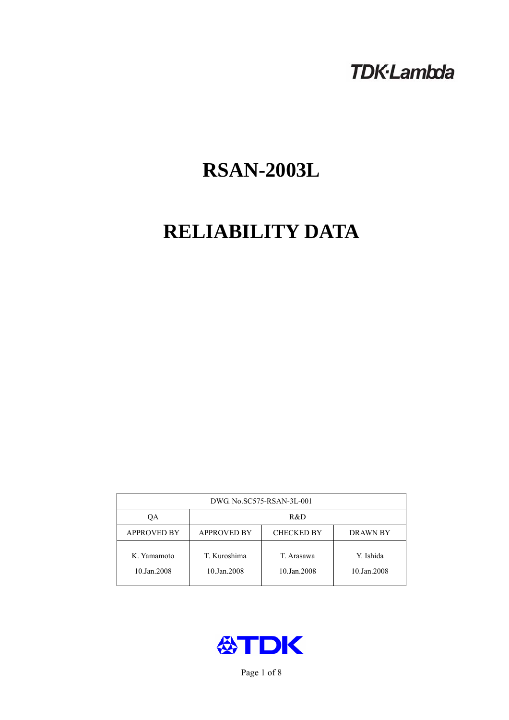# **TDK-Lambda**

# **RSAN-2003L**

# **RELIABILITY DATA**

| DWG. No.SC575-RSAN-3L-001  |                                                            |                           |                          |  |  |
|----------------------------|------------------------------------------------------------|---------------------------|--------------------------|--|--|
| ОA                         | R&D                                                        |                           |                          |  |  |
| <b>APPROVED BY</b>         | <b>APPROVED BY</b><br><b>CHECKED BY</b><br><b>DRAWN BY</b> |                           |                          |  |  |
| K. Yamamoto<br>10.Jan.2008 | T. Kuroshima<br>10.Jan.2008                                | T. Arasawa<br>10.Jan.2008 | Y. Ishida<br>10.Jan.2008 |  |  |



Page 1 of 8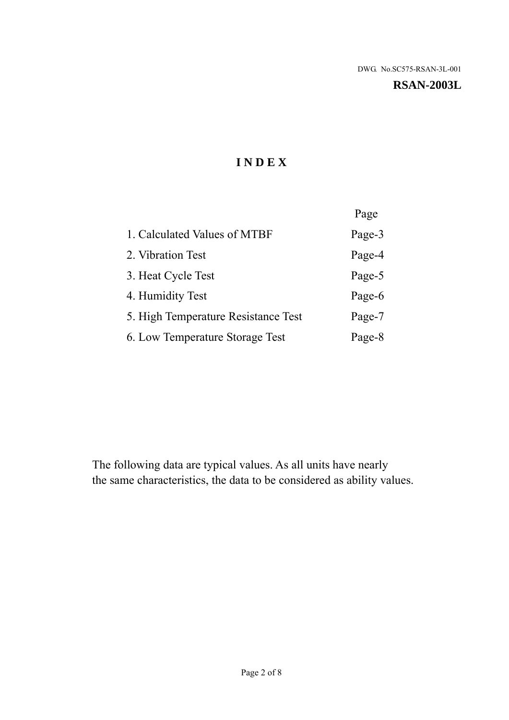#### **RSAN-2003L**

# **I N D E X**

|                                     | Page   |
|-------------------------------------|--------|
| 1. Calculated Values of MTBF        | Page-3 |
| 2. Vibration Test                   | Page-4 |
| 3. Heat Cycle Test                  | Page-5 |
| 4. Humidity Test                    | Page-6 |
| 5. High Temperature Resistance Test | Page-7 |
| 6. Low Temperature Storage Test     | Page-8 |

The following data are typical values. As all units have nearly the same characteristics, the data to be considered as ability values.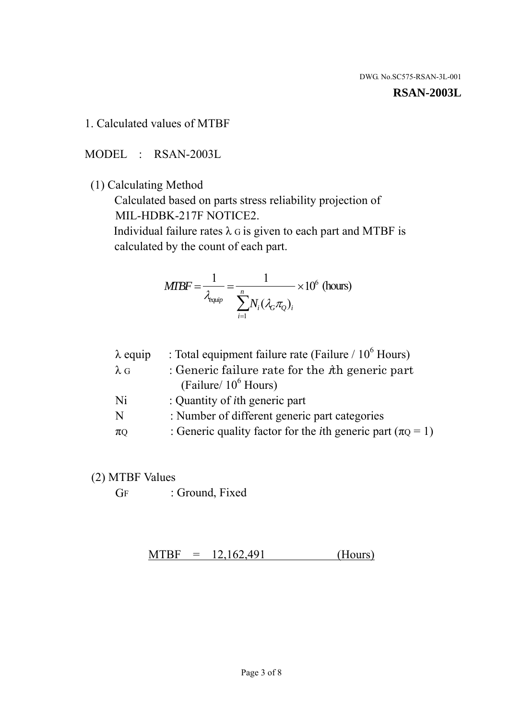#### **RSAN-2003L**

1. Calculated values of MTBF

MODEL : RSAN-2003L

(1) Calculating Method

 Calculated based on parts stress reliability projection of MIL-HDBK-217F NOTICE2.

Individual failure rates  $\lambda$  G is given to each part and MTBF is calculated by the count of each part.

$$
MIBF = \frac{1}{\lambda_{\text{equip}}} = \frac{1}{\sum_{i=1}^{n} N_i (\lambda_G \pi_Q)_i} \times 10^6 \text{ (hours)}
$$

| $\lambda$ equip | : Total equipment failure rate (Failure $/ 10^6$ Hours)                   |
|-----------------|---------------------------------------------------------------------------|
| $\lambda$ G     | : Generic failure rate for the $\hbar$ generic part                       |
|                 | (Failure/ $10^6$ Hours)                                                   |
| Ni              | : Quantity of <i>i</i> th generic part                                    |
| N               | : Number of different generic part categories                             |
| $\pi$ Q         | : Generic quality factor for the <i>i</i> th generic part ( $\pi Q = 1$ ) |

- (2) MTBF Values
	- GF : Ground, Fixed

 $MTBF = 12,162,491$  (Hours)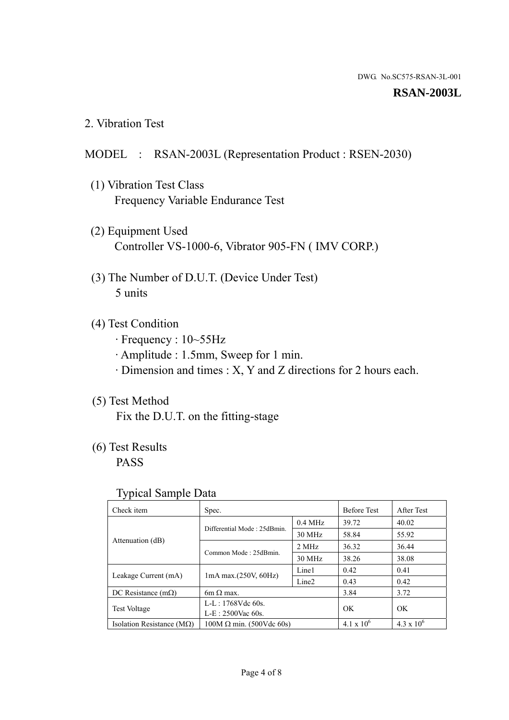#### **RSAN-2003L**

2. Vibration Test

### MODEL : RSAN-2003L (Representation Product : RSEN-2030)

- (1) Vibration Test Class Frequency Variable Endurance Test
- (2) Equipment Used Controller VS-1000-6, Vibrator 905-FN ( IMV CORP.)
- (3) The Number of D.U.T. (Device Under Test) 5 units
- (4) Test Condition
	- · Frequency : 10~55Hz
	- · Amplitude : 1.5mm, Sweep for 1 min.
	- · Dimension and times : X, Y and Z directions for 2 hours each.

# (5) Test Method

Fix the D.U.T. on the fitting-stage

# (6) Test Results

PASS

### Typical Sample Data

| . .                           |                                                         |           |                     |                     |
|-------------------------------|---------------------------------------------------------|-----------|---------------------|---------------------|
| Check item                    | Spec.                                                   |           | <b>Before Test</b>  | After Test          |
|                               | Differential Mode: 25dBmin.                             | $0.4$ MHz | 39.72               | 40.02               |
|                               |                                                         | 30 MHz    | 58.84               | 55.92               |
| Attenuation (dB)              | Common Mode: 25dBmin.                                   | 2 MHz     | 36.32               | 36.44               |
|                               |                                                         | 30 MHz    | 38.26               | 38.08               |
| Leakage Current (mA)          | Line1<br>$1mA$ max. $(250V, 60Hz)$<br>Line <sub>2</sub> |           | 0.42                | 0.41                |
|                               |                                                         |           | 0.43                | 0.42                |
| DC Resistance $(m\Omega)$     | 6m $\Omega$ max.                                        |           | 3.84                | 3.72                |
| <b>Test Voltage</b>           | $L-L: 1768Vdc$ 60s.                                     |           | OK                  | OK.                 |
|                               | $L-E$ : 2500Vac 60s.                                    |           |                     |                     |
| Isolation Resistance ( $MQ$ ) | $100M \Omega$ min. (500Vdc 60s)                         |           | $4.1 \times 10^{6}$ | $4.3 \times 10^{6}$ |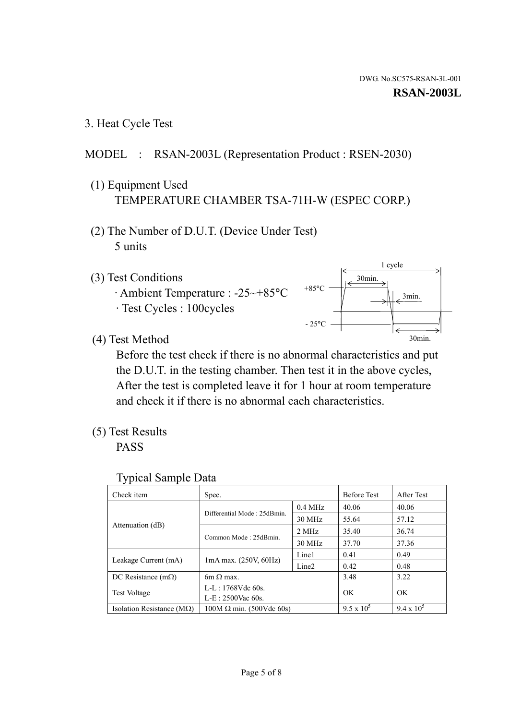3. Heat Cycle Test

# MODEL : RSAN-2003L (Representation Product : RSEN-2030)

- (1) Equipment Used TEMPERATURE CHAMBER TSA-71H-W (ESPEC CORP.)
- (2) The Number of D.U.T. (Device Under Test) 5 units
- (3) Test Conditions
	- · Ambient Temperature : -25~+85°C · Test Cycles : 100cycles



(4) Test Method

 Before the test check if there is no abnormal characteristics and put the D.U.T. in the testing chamber. Then test it in the above cycles, After the test is completed leave it for 1 hour at room temperature and check it if there is no abnormal each characteristics.

(5) Test Results

PASS

| <b>Typical Sample Data</b> |  |  |
|----------------------------|--|--|
|----------------------------|--|--|

| Check item                    | Spec.                                                   |           | <b>Before Test</b> | After Test        |
|-------------------------------|---------------------------------------------------------|-----------|--------------------|-------------------|
|                               |                                                         | $0.4$ MHz | 40.06              | 40.06             |
|                               | Differential Mode: 25dBmin.                             | 30 MHz    | 55.64              | 57.12             |
| Attenuation (dB)              | Common Mode: 25dBmin.                                   | 2 MHz     | 35.40              | 36.74             |
|                               |                                                         | 30 MHz    | 37.70              | 37.36             |
|                               | Line1<br>$1mA$ max. $(250V, 60Hz)$<br>Line <sub>2</sub> |           | 0.41               | 0.49              |
| Leakage Current (mA)          |                                                         |           | 0.42               | 0.48              |
| DC Resistance $(m\Omega)$     | $6m \Omega$ max.                                        |           | 3.48               | 3.22              |
|                               | L-L: $1768V$ de $60s$ .                                 |           | OK                 | OK                |
| <b>Test Voltage</b>           | $L-E: 2500$ Vac 60s.                                    |           |                    |                   |
| Isolation Resistance ( $MQ$ ) | $100M \Omega$ min. (500Vdc 60s)                         |           | $9.5 \times 10^5$  | $9.4 \times 10^5$ |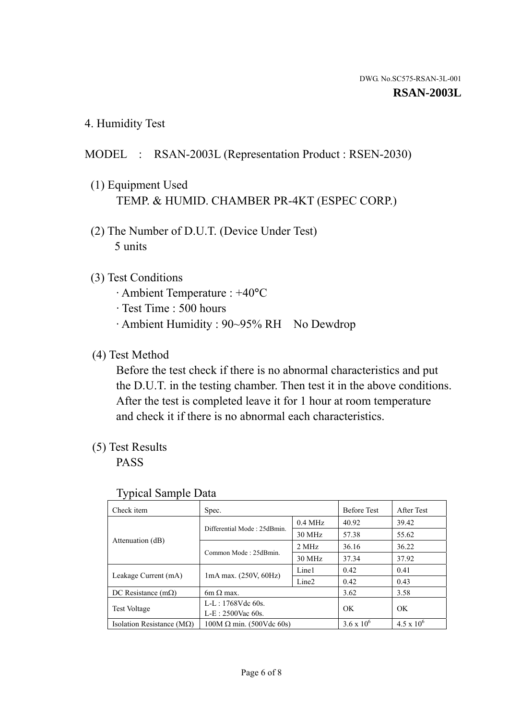4. Humidity Test

# MODEL : RSAN-2003L (Representation Product : RSEN-2030)

- (1) Equipment Used TEMP. & HUMID. CHAMBER PR-4KT (ESPEC CORP.)
- (2) The Number of D.U.T. (Device Under Test) 5 units

## (3) Test Conditions

- · Ambient Temperature : +40°C
- · Test Time : 500 hours
- · Ambient Humidity : 90~95% RH No Dewdrop

# (4) Test Method

 Before the test check if there is no abnormal characteristics and put the D.U.T. in the testing chamber. Then test it in the above conditions. After the test is completed leave it for 1 hour at room temperature and check it if there is no abnormal each characteristics.

# (5) Test Results

PASS

| . .                                |                                 |                   |                     |                     |
|------------------------------------|---------------------------------|-------------------|---------------------|---------------------|
| Check item                         | Spec.                           |                   | <b>Before Test</b>  | After Test          |
|                                    | Differential Mode: 25dBmin.     | $0.4$ MHz         | 40.92               | 39.42               |
|                                    |                                 | 30 MHz            | 57.38               | 55.62               |
| Attenuation (dB)                   | Common Mode: 25dBmin.           | 2 MHz             | 36.16               | 36.22               |
|                                    |                                 | 30 MHz            | 37.34               | 37.92               |
| Leakage Current (mA)               | $1mA$ max. $(250V, 60Hz)$       | Line1             | 0.42                | 0.41                |
|                                    |                                 | Line <sub>2</sub> | 0.42                | 0.43                |
| DC Resistance (m $\Omega$ )        | $6m \Omega$ max.                |                   | 3.62                | 3.58                |
| <b>Test Voltage</b>                | $L-L: 1768Vdc$ 60s.             |                   | OK                  | OK.                 |
|                                    | $L-E$ : 2500Vac 60s.            |                   |                     |                     |
| Isolation Resistance ( $M\Omega$ ) | $100M \Omega$ min. (500Vdc 60s) |                   | $3.6 \times 10^{6}$ | $4.5 \times 10^{6}$ |

#### Typical Sample Data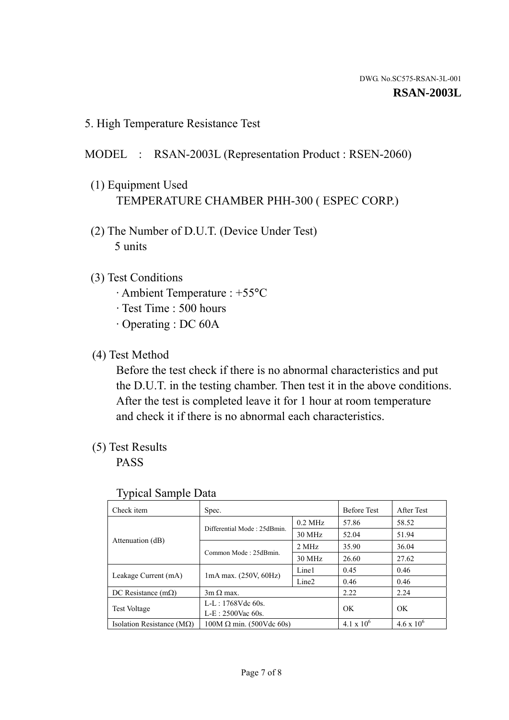5. High Temperature Resistance Test

## MODEL : RSAN-2003L (Representation Product : RSEN-2060)

- (1) Equipment Used TEMPERATURE CHAMBER PHH-300 ( ESPEC CORP.)
- (2) The Number of D.U.T. (Device Under Test) 5 units
- (3) Test Conditions
	- · Ambient Temperature : +55°C
	- · Test Time : 500 hours
	- · Operating : DC 60A
- (4) Test Method

 Before the test check if there is no abnormal characteristics and put the D.U.T. in the testing chamber. Then test it in the above conditions. After the test is completed leave it for 1 hour at room temperature and check it if there is no abnormal each characteristics.

(5) Test Results

PASS

| ╯┸                                 |                                 |                   |                     |                     |
|------------------------------------|---------------------------------|-------------------|---------------------|---------------------|
| Check item                         | Spec.                           |                   | <b>Before Test</b>  | After Test          |
|                                    | Differential Mode: 25dBmin.     | $0.2$ MHz         | 57.86               | 58.52               |
|                                    |                                 | 30 MHz            | 52.04               | 51.94               |
| Attenuation (dB)                   | Common Mode: 25dBmin.           | 2 MHz             | 35.90               | 36.04               |
|                                    |                                 | 30 MHz            | 26.60               | 27.62               |
| Leakage Current (mA)               | $1mA$ max. $(250V, 60Hz)$       | Line1             | 0.45                | 0.46                |
|                                    |                                 | Line <sub>2</sub> | 0.46                | 0.46                |
| DC Resistance $(m\Omega)$          | $3m \Omega$ max.                |                   | 2.22                | 2.24                |
| <b>Test Voltage</b>                | $L-L: 1768Vdc$ 60s.             |                   | OK                  | OK                  |
|                                    | $L-E: 2500$ Vac 60s.            |                   |                     |                     |
| Isolation Resistance ( $M\Omega$ ) | $100M \Omega$ min. (500Vdc 60s) |                   | $4.1 \times 10^{6}$ | $4.6 \times 10^{6}$ |

#### Typical Sample Data